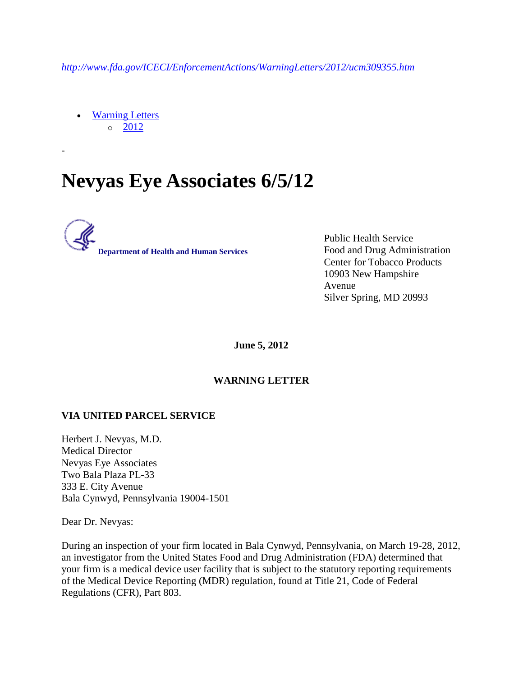*<http://www.fda.gov/ICECI/EnforcementActions/WarningLetters/2012/ucm309355.htm>*

 [Warning Letters](http://www.fda.gov/ICECI/EnforcementActions/WarningLetters/default.htm)  $\circ$  [2012](http://www.fda.gov/ICECI/EnforcementActions/WarningLetters/2012/default.htm)

-

## **Nevyas Eye Associates 6/5/12**



Public Health Service Food and Drug Administration Center for Tobacco Products 10903 New Hampshire Avenue Silver Spring, MD 20993

**June 5, 2012**

## **WARNING LETTER**

## **VIA UNITED PARCEL SERVICE**

Herbert J. Nevyas, M.D. Medical Director Nevyas Eye Associates Two Bala Plaza PL-33 333 E. City Avenue Bala Cynwyd, Pennsylvania 19004-1501

Dear Dr. Nevyas:

During an inspection of your firm located in Bala Cynwyd, Pennsylvania, on March 19-28, 2012, an investigator from the United States Food and Drug Administration (FDA) determined that your firm is a medical device user facility that is subject to the statutory reporting requirements of the Medical Device Reporting (MDR) regulation, found at Title 21, Code of Federal Regulations (CFR), Part 803.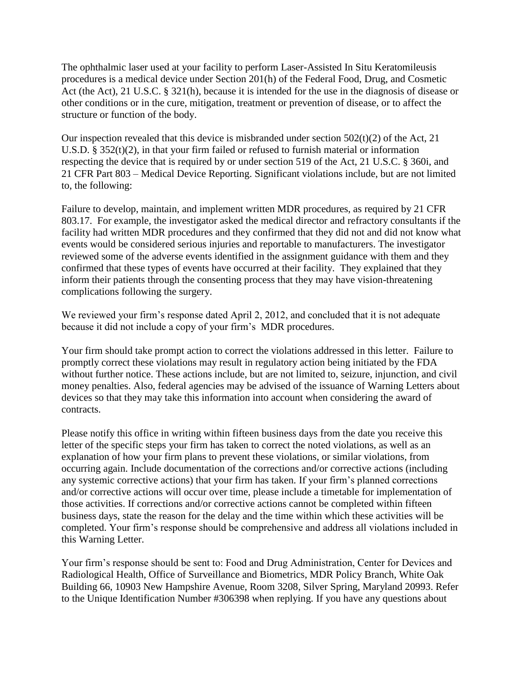The ophthalmic laser used at your facility to perform Laser-Assisted In Situ Keratomileusis procedures is a medical device under Section 201(h) of the Federal Food, Drug, and Cosmetic Act (the Act), 21 U.S.C. § 321(h), because it is intended for the use in the diagnosis of disease or other conditions or in the cure, mitigation, treatment or prevention of disease, or to affect the structure or function of the body.

Our inspection revealed that this device is misbranded under section  $502(t)(2)$  of the Act, 21 U.S.D. § 352(t)(2), in that your firm failed or refused to furnish material or information respecting the device that is required by or under section 519 of the Act, 21 U.S.C. § 360i, and 21 CFR Part 803 – Medical Device Reporting. Significant violations include, but are not limited to, the following:

Failure to develop, maintain, and implement written MDR procedures, as required by 21 CFR 803.17. For example, the investigator asked the medical director and refractory consultants if the facility had written MDR procedures and they confirmed that they did not and did not know what events would be considered serious injuries and reportable to manufacturers. The investigator reviewed some of the adverse events identified in the assignment guidance with them and they confirmed that these types of events have occurred at their facility. They explained that they inform their patients through the consenting process that they may have vision-threatening complications following the surgery.

We reviewed your firm's response dated April 2, 2012, and concluded that it is not adequate because it did not include a copy of your firm's MDR procedures.

Your firm should take prompt action to correct the violations addressed in this letter. Failure to promptly correct these violations may result in regulatory action being initiated by the FDA without further notice. These actions include, but are not limited to, seizure, injunction, and civil money penalties. Also, federal agencies may be advised of the issuance of Warning Letters about devices so that they may take this information into account when considering the award of contracts.

Please notify this office in writing within fifteen business days from the date you receive this letter of the specific steps your firm has taken to correct the noted violations, as well as an explanation of how your firm plans to prevent these violations, or similar violations, from occurring again. Include documentation of the corrections and/or corrective actions (including any systemic corrective actions) that your firm has taken. If your firm's planned corrections and/or corrective actions will occur over time, please include a timetable for implementation of those activities. If corrections and/or corrective actions cannot be completed within fifteen business days, state the reason for the delay and the time within which these activities will be completed. Your firm's response should be comprehensive and address all violations included in this Warning Letter.

Your firm's response should be sent to: Food and Drug Administration, Center for Devices and Radiological Health, Office of Surveillance and Biometrics, MDR Policy Branch, White Oak Building 66, 10903 New Hampshire Avenue, Room 3208, Silver Spring, Maryland 20993. Refer to the Unique Identification Number #306398 when replying. If you have any questions about